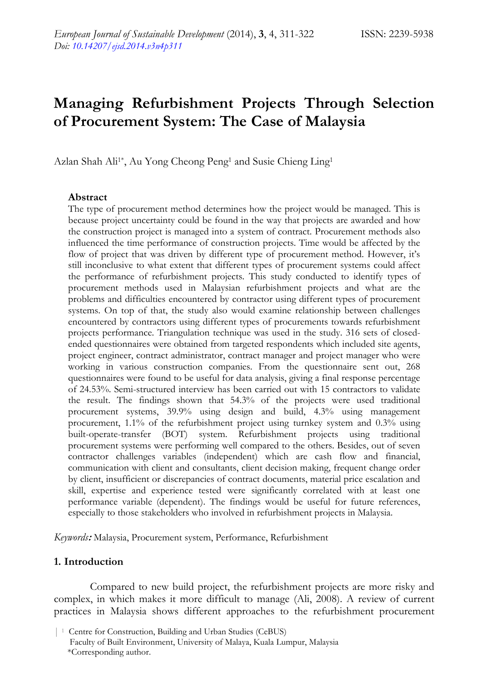# **Managing Refurbishment Projects Through Selection of Procurement System: The Case of Malaysia**

Azlan Shah Ali<sup>1\*</sup>, Au Yong Cheong Peng<sup>1</sup> and Susie Chieng Ling<sup>1</sup>

#### **Abstract**

The type of procurement method determines how the project would be managed. This is because project uncertainty could be found in the way that projects are awarded and how the construction project is managed into a system of contract. Procurement methods also influenced the time performance of construction projects. Time would be affected by the flow of project that was driven by different type of procurement method. However, it's still inconclusive to what extent that different types of procurement systems could affect the performance of refurbishment projects. This study conducted to identify types of procurement methods used in Malaysian refurbishment projects and what are the problems and difficulties encountered by contractor using different types of procurement systems. On top of that, the study also would examine relationship between challenges encountered by contractors using different types of procurements towards refurbishment projects performance. Triangulation technique was used in the study. 316 sets of closedended questionnaires were obtained from targeted respondents which included site agents, project engineer, contract administrator, contract manager and project manager who were working in various construction companies. From the questionnaire sent out, 268 questionnaires were found to be useful for data analysis, giving a final response percentage of 24.53%. Semi-structured interview has been carried out with 15 contractors to validate the result. The findings shown that 54.3% of the projects were used traditional procurement systems, 39.9% using design and build, 4.3% using management procurement, 1.1% of the refurbishment project using turnkey system and 0.3% using built-operate-transfer (BOT) system. Refurbishment projects using traditional procurement systems were performing well compared to the others. Besides, out of seven contractor challenges variables (independent) which are cash flow and financial, communication with client and consultants, client decision making, frequent change order by client, insufficient or discrepancies of contract documents, material price escalation and skill, expertise and experience tested were significantly correlated with at least one performance variable (dependent). The findings would be useful for future references, especially to those stakeholders who involved in refurbishment projects in Malaysia.

*Keywords***:** Malaysia, Procurement system, Performance, Refurbishment

#### **1. Introduction**

Compared to new build project, the refurbishment projects are more risky and complex, in which makes it more difficult to manage (Ali, 2008). A review of current practices in Malaysia shows different approaches to the refurbishment procurement

<sup>| 1</sup> Centre for Construction, Building and Urban Studies (CeBUS) Faculty of Built Environment, University of Malaya, Kuala Lumpur, Malaysia \*Corresponding author.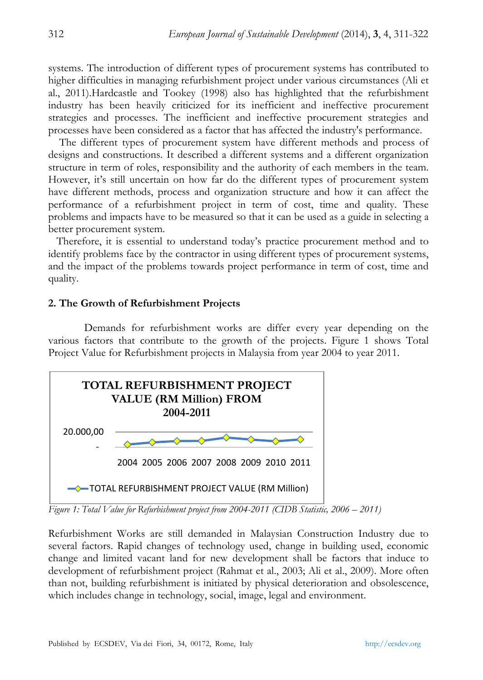systems. The introduction of different types of procurement systems has contributed to higher difficulties in managing refurbishment project under various circumstances (Ali et al., 2011).Hardcastle and Tookey (1998) also has highlighted that the refurbishment industry has been heavily criticized for its inefficient and ineffective procurement strategies and processes. The inefficient and ineffective procurement strategies and processes have been considered as a factor that has affected the industry's performance.

 The different types of procurement system have different methods and process of designs and constructions. It described a different systems and a different organization structure in term of roles, responsibility and the authority of each members in the team. However, it's still uncertain on how far do the different types of procurement system have different methods, process and organization structure and how it can affect the performance of a refurbishment project in term of cost, time and quality. These problems and impacts have to be measured so that it can be used as a guide in selecting a better procurement system.

 Therefore, it is essential to understand today's practice procurement method and to identify problems face by the contractor in using different types of procurement systems, and the impact of the problems towards project performance in term of cost, time and quality.

#### **2. The Growth of Refurbishment Projects**

Demands for refurbishment works are differ every year depending on the various factors that contribute to the growth of the projects. Figure 1 shows Total Project Value for Refurbishment projects in Malaysia from year 2004 to year 2011.



*Figure 1: Total Value for Refurbishment project from 2004-2011 (CIDB Statistic, 2006 – 2011)* 

Refurbishment Works are still demanded in Malaysian Construction Industry due to several factors. Rapid changes of technology used, change in building used, economic change and limited vacant land for new development shall be factors that induce to development of refurbishment project (Rahmat et al., 2003; Ali et al., 2009). More often than not, building refurbishment is initiated by physical deterioration and obsolescence, which includes change in technology, social, image, legal and environment.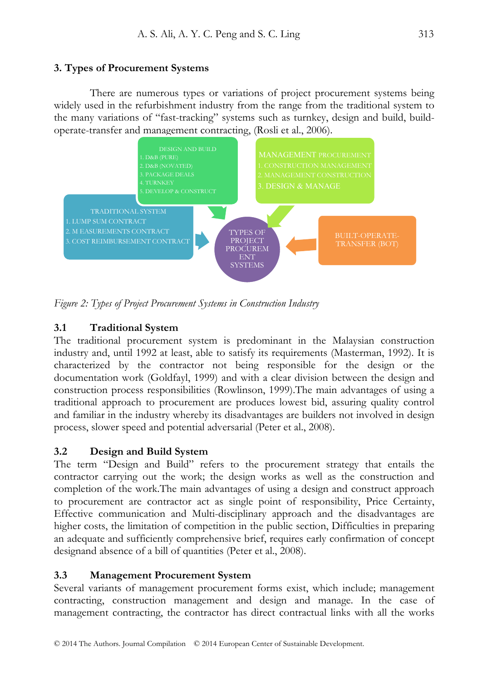# **3. Types of Procurement Systems**

There are numerous types or variations of project procurement systems being widely used in the refurbishment industry from the range from the traditional system to the many variations of "fast-tracking" systems such as turnkey, design and build, buildoperate-transfer and management contracting, (Rosli et al., 2006).



*Figure 2: Types of Project Procurement Systems in Construction Industry* 

# **3.1 Traditional System**

The traditional procurement system is predominant in the Malaysian construction industry and, until 1992 at least, able to satisfy its requirements (Masterman, 1992). It is characterized by the contractor not being responsible for the design or the documentation work (Goldfayl, 1999) and with a clear division between the design and construction process responsibilities (Rowlinson, 1999).The main advantages of using a traditional approach to procurement are produces lowest bid, assuring quality control and familiar in the industry whereby its disadvantages are builders not involved in design process, slower speed and potential adversarial (Peter et al., 2008).

# **3.2 Design and Build System**

The term "Design and Build" refers to the procurement strategy that entails the contractor carrying out the work; the design works as well as the construction and completion of the work.The main advantages of using a design and construct approach to procurement are contractor act as single point of responsibility, Price Certainty, Effective communication and Multi-disciplinary approach and the disadvantages are higher costs, the limitation of competition in the public section, Difficulties in preparing an adequate and sufficiently comprehensive brief, requires early confirmation of concept designand absence of a bill of quantities (Peter et al., 2008).

# **3.3 Management Procurement System**

Several variants of management procurement forms exist, which include; management contracting, construction management and design and manage. In the case of management contracting, the contractor has direct contractual links with all the works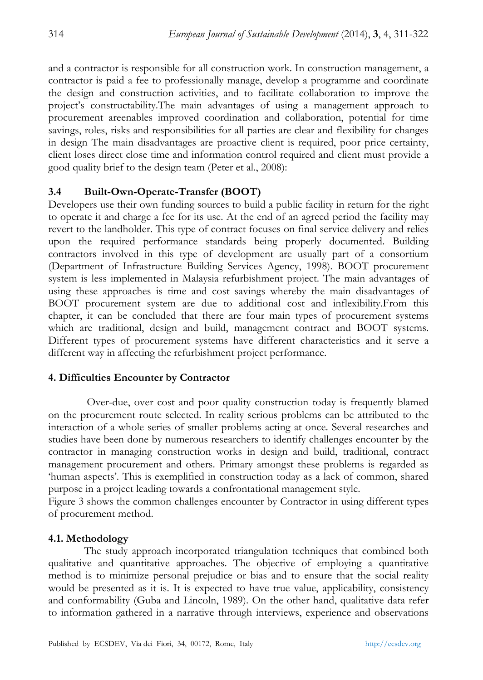and a contractor is responsible for all construction work. In construction management, a contractor is paid a fee to professionally manage, develop a programme and coordinate the design and construction activities, and to facilitate collaboration to improve the project's constructability.The main advantages of using a management approach to procurement areenables improved coordination and collaboration, potential for time savings, roles, risks and responsibilities for all parties are clear and flexibility for changes in design The main disadvantages are proactive client is required, poor price certainty, client loses direct close time and information control required and client must provide a good quality brief to the design team (Peter et al., 2008):

### **3.4 Built-Own-Operate-Transfer (BOOT)**

Developers use their own funding sources to build a public facility in return for the right to operate it and charge a fee for its use. At the end of an agreed period the facility may revert to the landholder. This type of contract focuses on final service delivery and relies upon the required performance standards being properly documented. Building contractors involved in this type of development are usually part of a consortium (Department of Infrastructure Building Services Agency, 1998). BOOT procurement system is less implemented in Malaysia refurbishment project. The main advantages of using these approaches is time and cost savings whereby the main disadvantages of BOOT procurement system are due to additional cost and inflexibility.From this chapter, it can be concluded that there are four main types of procurement systems which are traditional, design and build, management contract and BOOT systems. Different types of procurement systems have different characteristics and it serve a different way in affecting the refurbishment project performance.

#### **4. Difficulties Encounter by Contractor**

 Over-due, over cost and poor quality construction today is frequently blamed on the procurement route selected. In reality serious problems can be attributed to the interaction of a whole series of smaller problems acting at once. Several researches and studies have been done by numerous researchers to identify challenges encounter by the contractor in managing construction works in design and build, traditional, contract management procurement and others. Primary amongst these problems is regarded as 'human aspects'. This is exemplified in construction today as a lack of common, shared purpose in a project leading towards a confrontational management style.

Figure 3 shows the common challenges encounter by Contractor in using different types of procurement method.

#### **4.1. Methodology**

The study approach incorporated triangulation techniques that combined both qualitative and quantitative approaches. The objective of employing a quantitative method is to minimize personal prejudice or bias and to ensure that the social reality would be presented as it is. It is expected to have true value, applicability, consistency and conformability (Guba and Lincoln, 1989). On the other hand, qualitative data refer to information gathered in a narrative through interviews, experience and observations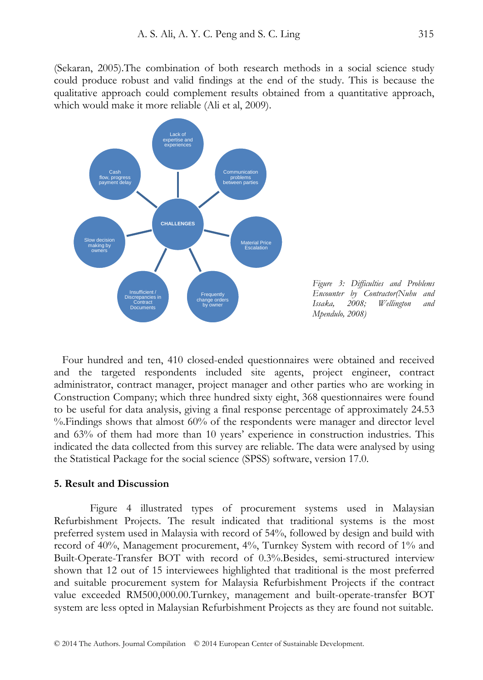(Sekaran, 2005).The combination of both research methods in a social science study could produce robust and valid findings at the end of the study. This is because the qualitative approach could complement results obtained from a quantitative approach, which would make it more reliable (Ali et al, 2009).



*Figure 3: Difficulties and Problems Encounter by Contractor(Nuhu and Issaka, 2008; Wellington and Mpendulo, 2008)* 

 Four hundred and ten, 410 closed-ended questionnaires were obtained and received and the targeted respondents included site agents, project engineer, contract administrator, contract manager, project manager and other parties who are working in Construction Company; which three hundred sixty eight, 368 questionnaires were found to be useful for data analysis, giving a final response percentage of approximately 24.53 %.Findings shows that almost 60% of the respondents were manager and director level and 63% of them had more than 10 years' experience in construction industries. This indicated the data collected from this survey are reliable. The data were analysed by using the Statistical Package for the social science (SPSS) software, version 17.0.

#### **5. Result and Discussion**

Figure 4 illustrated types of procurement systems used in Malaysian Refurbishment Projects. The result indicated that traditional systems is the most preferred system used in Malaysia with record of 54%, followed by design and build with record of 40%, Management procurement, 4%, Turnkey System with record of 1% and Built-Operate-Transfer BOT with record of 0.3%.Besides, semi-structured interview shown that 12 out of 15 interviewees highlighted that traditional is the most preferred and suitable procurement system for Malaysia Refurbishment Projects if the contract value exceeded RM500,000.00.Turnkey, management and built-operate-transfer BOT system are less opted in Malaysian Refurbishment Projects as they are found not suitable.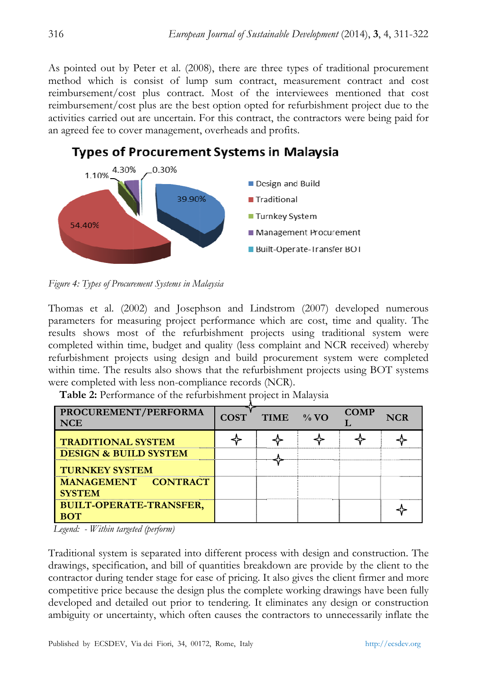As pointed out by Peter et al. (2008), there are three types of traditional procurement method which is consist of lump sum contract, measurement contract and cost reimbursement/cost plus contract. Most of the interviewees mentioned that cost reimbursement/cost plus are the best option opted for refurbishment project due to the activities carried out are uncertain. For this contract, the contractors were being paid for an agreed fee to cover management, overheads and profits.



**Types of Procurement Systems in Malaysia** 

Figure 4: Types of Procurement Systems in Malaysia

Thomas et al. (2002) and Josephson and Lindstrom (2007) developed numerous parameters for measuring project performance which are cost, time and quality. The results shows most of the refurbishment projects using traditional system were completed within time, budget and quality (less complaint and NCR received) whereby refurbishment projects using design and build procurement system were completed within time. The results also shows that the refurbishment projects using BOT systems were completed with less non-compliance records (NCR).

| PROCUREMENT/PERFORMA<br><b>NCE</b>           | <b>COST</b> | <b>TIME</b> | $\frac{9}{6}$ VO | <b>COMP</b> | <b>NCR</b> |
|----------------------------------------------|-------------|-------------|------------------|-------------|------------|
| <b>TRADITIONAL SYSTEM</b>                    |             |             |                  |             |            |
| <b>DESIGN &amp; BUILD SYSTEM</b>             |             |             |                  |             |            |
| <b>TURNKEY SYSTEM</b>                        |             |             |                  |             |            |
| MANAGEMENT CONTRACT<br><b>SYSTEM</b>         |             |             |                  |             |            |
| <b>BUILT-OPERATE-TRANSFER,</b><br><b>BOT</b> |             |             |                  |             |            |

Table 2: Performance of the refurbishment project in Malaysia

*Legend: - Within targeted (perform)* 

Traditional system is separated into different process with design and construction. The drawings, specification, and bill of quantities breakdown are provide by the client to the contractor during tender stage for ease of pricing. It also gives the client firmer and more competitive price because the design plus the complete working drawings have been fully developed and detailed out prior to tendering. It eliminates any design or construction ambiguity or uncertainty, which often causes the contractors to unnecessarily inflate the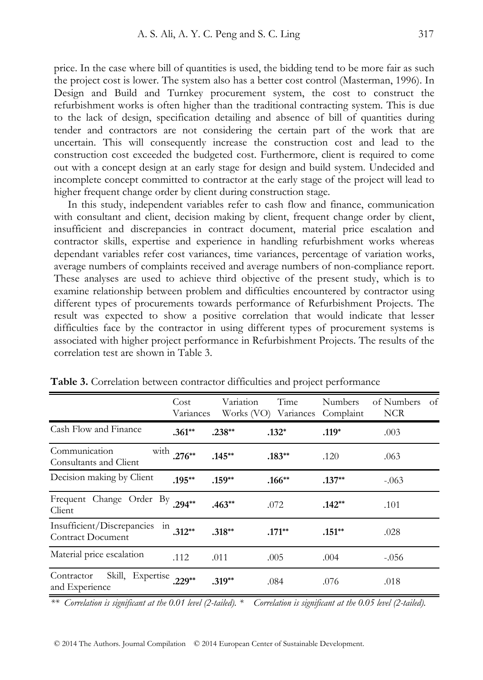price. In the case where bill of quantities is used, the bidding tend to be more fair as such the project cost is lower. The system also has a better cost control (Masterman, 1996). In Design and Build and Turnkey procurement system, the cost to construct the refurbishment works is often higher than the traditional contracting system. This is due to the lack of design, specification detailing and absence of bill of quantities during tender and contractors are not considering the certain part of the work that are uncertain. This will consequently increase the construction cost and lead to the construction cost exceeded the budgeted cost. Furthermore, client is required to come out with a concept design at an early stage for design and build system. Undecided and incomplete concept committed to contractor at the early stage of the project will lead to higher frequent change order by client during construction stage.

 In this study, independent variables refer to cash flow and finance, communication with consultant and client, decision making by client, frequent change order by client, insufficient and discrepancies in contract document, material price escalation and contractor skills, expertise and experience in handling refurbishment works whereas dependant variables refer cost variances, time variances, percentage of variation works, average numbers of complaints received and average numbers of non-compliance report. These analyses are used to achieve third objective of the present study, which is to examine relationship between problem and difficulties encountered by contractor using different types of procurements towards performance of Refurbishment Projects. The result was expected to show a positive correlation that would indicate that lesser difficulties face by the contractor in using different types of procurement systems is associated with higher project performance in Refurbishment Projects. The results of the correlation test are shown in Table 3.

|                                                               | Cost<br>Variances | Variation | Time<br>Works (VO) Variances | <b>Numbers</b><br>Complaint | of Numbers<br>of<br><b>NCR</b> |
|---------------------------------------------------------------|-------------------|-----------|------------------------------|-----------------------------|--------------------------------|
| Cash Flow and Finance                                         | $.361**$          | $.238***$ | $.132*$                      | $.119*$                     | .003                           |
| Communication<br>Consultants and Client                       | with $.276**$     | $.145***$ | $.183**$                     | .120                        | .063                           |
| Decision making by Client                                     | $.195***$         | $.159**$  | $.166**$                     | $.137**$                    | $-.063$                        |
| Frequent Change Order By<br>Client                            | $.294**$          | $.463**$  | .072                         | $.142**$                    | .101                           |
| Insufficient/Discrepancies<br>111<br><b>Contract Document</b> | $312**$           | $.318***$ | $.171**$                     | $.151***$                   | .028                           |
| Material price escalation                                     | .112              | .011      | .005                         | .004                        | $-.056$                        |
| Skill, Expertise 229**<br>Contractor<br>and Experience        |                   | $.319**$  | .084                         | .076                        | .018                           |

**Table 3.** Correlation between contractor difficulties and project performance

*\*\* Correlation is significant at the 0.01 level (2-tailed). \* Correlation is significant at the 0.05 level (2-tailed).*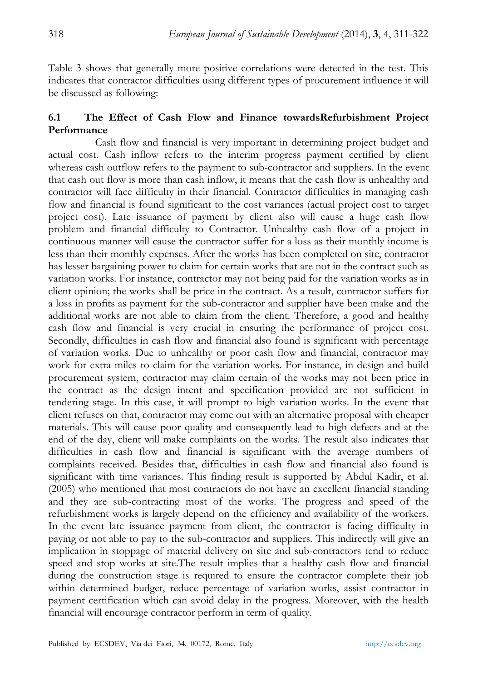Table 3 shows that generally more positive correlations were detected in the test. This indicates that contractor difficulties using different types of procurement influence it will be discussed as following:

# **6.1 The Effect of Cash Flow and Finance towardsRefurbishment Project Performance**

 Cash flow and financial is very important in determining project budget and actual cost. Cash inflow refers to the interim progress payment certified by client whereas cash outflow refers to the payment to sub-contractor and suppliers. In the event that cash out flow is more than cash inflow, it means that the cash flow is unhealthy and contractor will face difficulty in their financial. Contractor difficulties in managing cash flow and financial is found significant to the cost variances (actual project cost to target project cost). Late issuance of payment by client also will cause a huge cash flow problem and financial difficulty to Contractor. Unhealthy cash flow of a project in continuous manner will cause the contractor suffer for a loss as their monthly income is less than their monthly expenses. After the works has been completed on site, contractor has lesser bargaining power to claim for certain works that are not in the contract such as variation works. For instance, contractor may not being paid for the variation works as in client opinion; the works shall be price in the contract. As a result, contractor suffers for a loss in profits as payment for the sub-contractor and supplier have been make and the additional works are not able to claim from the client. Therefore, a good and healthy cash flow and financial is very crucial in ensuring the performance of project cost. Secondly, difficulties in cash flow and financial also found is significant with percentage of variation works. Due to unhealthy or poor cash flow and financial, contractor may work for extra miles to claim for the variation works. For instance, in design and build procurement system, contractor may claim certain of the works may not been price in the contract as the design intent and specification provided are not sufficient in tendering stage. In this case, it will prompt to high variation works. In the event that client refuses on that, contractor may come out with an alternative proposal with cheaper materials. This will cause poor quality and consequently lead to high defects and at the end of the day, client will make complaints on the works. The result also indicates that difficulties in cash flow and financial is significant with the average numbers of complaints received. Besides that, difficulties in cash flow and financial also found is significant with time variances. This finding result is supported by Abdul Kadir, et al. (2005) who mentioned that most contractors do not have an excellent financial standing and they are sub-contracting most of the works. The progress and speed of the refurbishment works is largely depend on the efficiency and availability of the workers. In the event late issuance payment from client, the contractor is facing difficulty in paying or not able to pay to the sub-contractor and suppliers. This indirectly will give an implication in stoppage of material delivery on site and sub-contractors tend to reduce speed and stop works at site.The result implies that a healthy cash flow and financial during the construction stage is required to ensure the contractor complete their job within determined budget, reduce percentage of variation works, assist contractor in payment certification which can avoid delay in the progress. Moreover, with the health financial will encourage contractor perform in term of quality.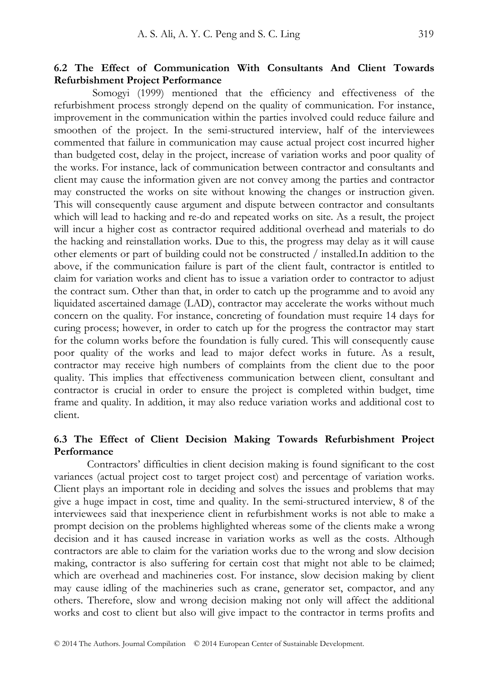### **6.2 The Effect of Communication With Consultants And Client Towards Refurbishment Project Performance**

 Somogyi (1999) mentioned that the efficiency and effectiveness of the refurbishment process strongly depend on the quality of communication. For instance, improvement in the communication within the parties involved could reduce failure and smoothen of the project. In the semi-structured interview, half of the interviewees commented that failure in communication may cause actual project cost incurred higher than budgeted cost, delay in the project, increase of variation works and poor quality of the works. For instance, lack of communication between contractor and consultants and client may cause the information given are not convey among the parties and contractor may constructed the works on site without knowing the changes or instruction given. This will consequently cause argument and dispute between contractor and consultants which will lead to hacking and re-do and repeated works on site. As a result, the project will incur a higher cost as contractor required additional overhead and materials to do the hacking and reinstallation works. Due to this, the progress may delay as it will cause other elements or part of building could not be constructed / installed.In addition to the above, if the communication failure is part of the client fault, contractor is entitled to claim for variation works and client has to issue a variation order to contractor to adjust the contract sum. Other than that, in order to catch up the programme and to avoid any liquidated ascertained damage (LAD), contractor may accelerate the works without much concern on the quality. For instance, concreting of foundation must require 14 days for curing process; however, in order to catch up for the progress the contractor may start for the column works before the foundation is fully cured. This will consequently cause poor quality of the works and lead to major defect works in future. As a result, contractor may receive high numbers of complaints from the client due to the poor quality. This implies that effectiveness communication between client, consultant and contractor is crucial in order to ensure the project is completed within budget, time frame and quality. In addition, it may also reduce variation works and additional cost to client.

## **6.3 The Effect of Client Decision Making Towards Refurbishment Project Performance**

 Contractors' difficulties in client decision making is found significant to the cost variances (actual project cost to target project cost) and percentage of variation works. Client plays an important role in deciding and solves the issues and problems that may give a huge impact in cost, time and quality. In the semi-structured interview, 8 of the interviewees said that inexperience client in refurbishment works is not able to make a prompt decision on the problems highlighted whereas some of the clients make a wrong decision and it has caused increase in variation works as well as the costs. Although contractors are able to claim for the variation works due to the wrong and slow decision making, contractor is also suffering for certain cost that might not able to be claimed; which are overhead and machineries cost. For instance, slow decision making by client may cause idling of the machineries such as crane, generator set, compactor, and any others. Therefore, slow and wrong decision making not only will affect the additional works and cost to client but also will give impact to the contractor in terms profits and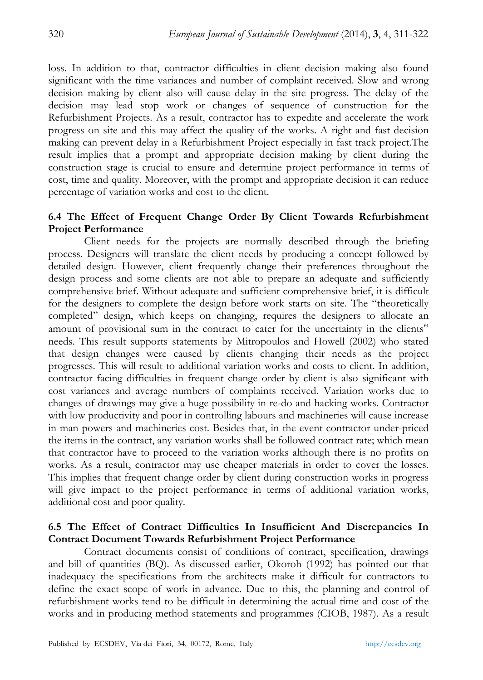loss. In addition to that, contractor difficulties in client decision making also found significant with the time variances and number of complaint received. Slow and wrong decision making by client also will cause delay in the site progress. The delay of the decision may lead stop work or changes of sequence of construction for the Refurbishment Projects. As a result, contractor has to expedite and accelerate the work progress on site and this may affect the quality of the works. A right and fast decision making can prevent delay in a Refurbishment Project especially in fast track project.The result implies that a prompt and appropriate decision making by client during the construction stage is crucial to ensure and determine project performance in terms of cost, time and quality. Moreover, with the prompt and appropriate decision it can reduce percentage of variation works and cost to the client.

## **6.4 The Effect of Frequent Change Order By Client Towards Refurbishment Project Performance**

 Client needs for the projects are normally described through the briefing process. Designers will translate the client needs by producing a concept followed by detailed design. However, client frequently change their preferences throughout the design process and some clients are not able to prepare an adequate and sufficiently comprehensive brief. Without adequate and sufficient comprehensive brief, it is difficult for the designers to complete the design before work starts on site. The "theoretically completed" design, which keeps on changing, requires the designers to allocate an amount of provisional sum in the contract to cater for the uncertainty in the clients" needs. This result supports statements by Mitropoulos and Howell (2002) who stated that design changes were caused by clients changing their needs as the project progresses. This will result to additional variation works and costs to client. In addition, contractor facing difficulties in frequent change order by client is also significant with cost variances and average numbers of complaints received. Variation works due to changes of drawings may give a huge possibility in re-do and hacking works. Contractor with low productivity and poor in controlling labours and machineries will cause increase in man powers and machineries cost. Besides that, in the event contractor under-priced the items in the contract, any variation works shall be followed contract rate; which mean that contractor have to proceed to the variation works although there is no profits on works. As a result, contractor may use cheaper materials in order to cover the losses. This implies that frequent change order by client during construction works in progress will give impact to the project performance in terms of additional variation works, additional cost and poor quality.

## **6.5 The Effect of Contract Difficulties In Insufficient And Discrepancies In Contract Document Towards Refurbishment Project Performance**

 Contract documents consist of conditions of contract, specification, drawings and bill of quantities (BQ). As discussed earlier, Okoroh (1992) has pointed out that inadequacy the specifications from the architects make it difficult for contractors to define the exact scope of work in advance. Due to this, the planning and control of refurbishment works tend to be difficult in determining the actual time and cost of the works and in producing method statements and programmes (CIOB, 1987). As a result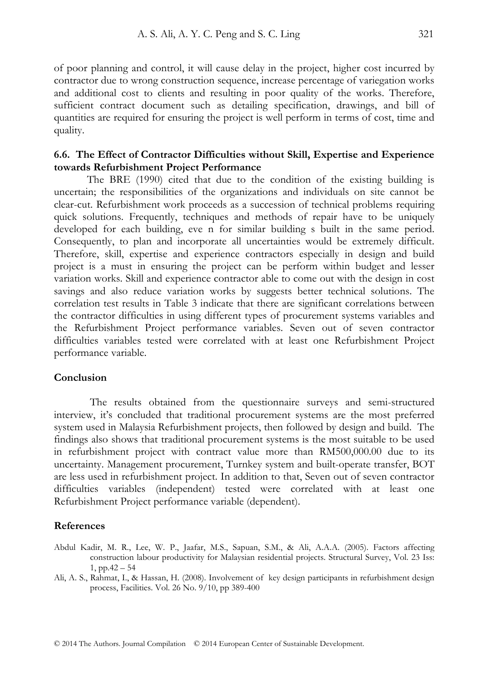of poor planning and control, it will cause delay in the project, higher cost incurred by contractor due to wrong construction sequence, increase percentage of variegation works and additional cost to clients and resulting in poor quality of the works. Therefore, sufficient contract document such as detailing specification, drawings, and bill of quantities are required for ensuring the project is well perform in terms of cost, time and quality.

#### **6.6. The Effect of Contractor Difficulties without Skill, Expertise and Experience towards Refurbishment Project Performance**

 The BRE (1990) cited that due to the condition of the existing building is uncertain; the responsibilities of the organizations and individuals on site cannot be clear-cut. Refurbishment work proceeds as a succession of technical problems requiring quick solutions. Frequently, techniques and methods of repair have to be uniquely developed for each building, eve n for similar building s built in the same period. Consequently, to plan and incorporate all uncertainties would be extremely difficult. Therefore, skill, expertise and experience contractors especially in design and build project is a must in ensuring the project can be perform within budget and lesser variation works. Skill and experience contractor able to come out with the design in cost savings and also reduce variation works by suggests better technical solutions. The correlation test results in Table 3 indicate that there are significant correlations between the contractor difficulties in using different types of procurement systems variables and the Refurbishment Project performance variables. Seven out of seven contractor difficulties variables tested were correlated with at least one Refurbishment Project performance variable.

#### **Conclusion**

The results obtained from the questionnaire surveys and semi-structured interview, it's concluded that traditional procurement systems are the most preferred system used in Malaysia Refurbishment projects, then followed by design and build. The findings also shows that traditional procurement systems is the most suitable to be used in refurbishment project with contract value more than RM500,000.00 due to its uncertainty. Management procurement, Turnkey system and built-operate transfer, BOT are less used in refurbishment project. In addition to that, Seven out of seven contractor difficulties variables (independent) tested were correlated with at least one Refurbishment Project performance variable (dependent).

#### **References**

- Abdul Kadir, M. R., Lee, W. P., Jaafar, M.S., Sapuan, S.M., & Ali, A.A.A. (2005). Factors affecting construction labour productivity for Malaysian residential projects. Structural Survey, Vol. 23 Iss: 1, pp.42 – 54
- Ali, A. S., Rahmat, I., & Hassan, H. (2008). Involvement of key design participants in refurbishment design process, Facilities. Vol. 26 No. 9/10, pp 389-400